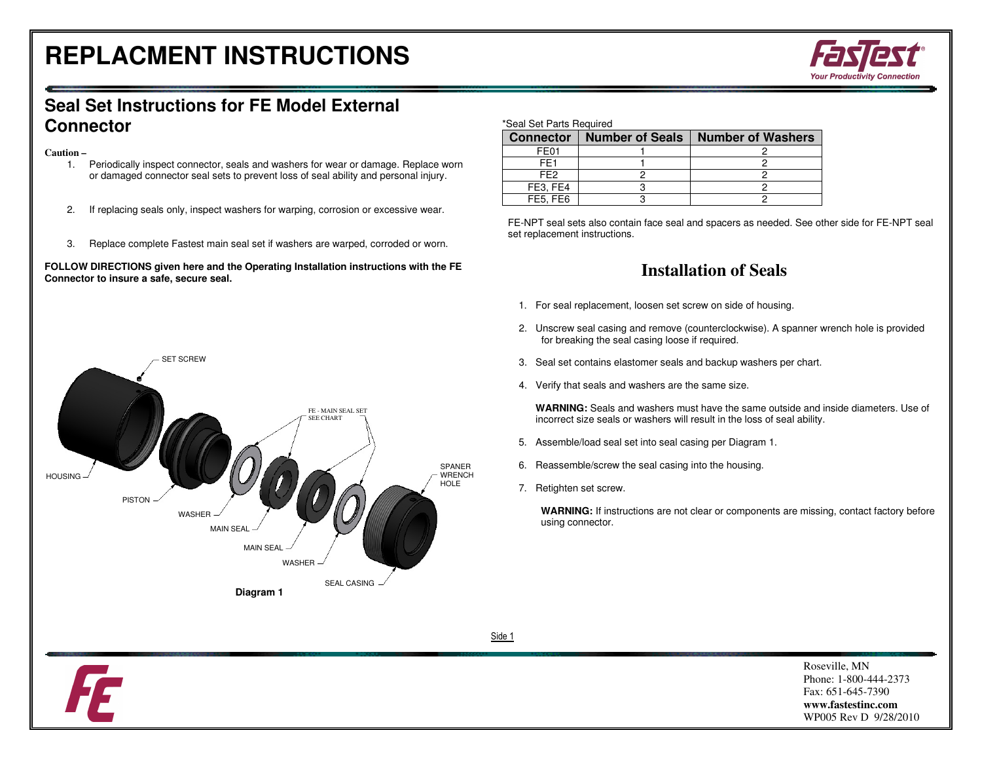## **REPLACMENT INSTRUCTIONS**



## **Seal Set Instructions for FE Model External Connector**

#### **Caution –**

- 1. Periodically inspect connector, seals and washers for wear or damage. Replace worn or damaged connector seal sets to prevent loss of seal ability and personal injury.
- 2. If replacing seals only, inspect washers for warping, corrosion or excessive wear.
- 3. Replace complete Fastest main seal set if washers are warped, corroded or worn.

#### **FOLLOW DIRECTIONS given here and the Operating Installation instructions with the FE Connector to insure a safe, secure seal.**



#### \*Seal Set Parts Required

| <b>Connector</b> | <b>Number of Seals</b> | <b>Number of Washers</b> |
|------------------|------------------------|--------------------------|
| FF <sub>01</sub> |                        |                          |
| FF <sub>1</sub>  |                        |                          |
| FF <sub>2</sub>  |                        |                          |
| FE3, FE4         |                        |                          |
| FE5, FE6         |                        |                          |

FE-NPT seal sets also contain face seal and spacers as needed. See other side for FE-NPT seal set replacement instructions.

### **Installation of Seals**

- 1. For seal replacement, loosen set screw on side of housing.
- 2. Unscrew seal casing and remove (counterclockwise). A spanner wrench hole is provided for breaking the seal casing loose if required.
- 3. Seal set contains elastomer seals and backup washers per chart.
- 4. Verify that seals and washers are the same size.

**WARNING:** Seals and washers must have the same outside and inside diameters. Use of incorrect size seals or washers will result in the loss of seal ability.

- 5. Assemble/load seal set into seal casing per Diagram 1.
- 6. Reassemble/screw the seal casing into the housing.
- 7. Retighten set screw.

**WARNING:** If instructions are not clear or components are missing, contact factory before using connector.

Side 1

Roseville, MN Phone: 1-800-444-2373 Fax: 651-645-7390 **www.fastestinc.com** WP005 Rev D 9/28/2010